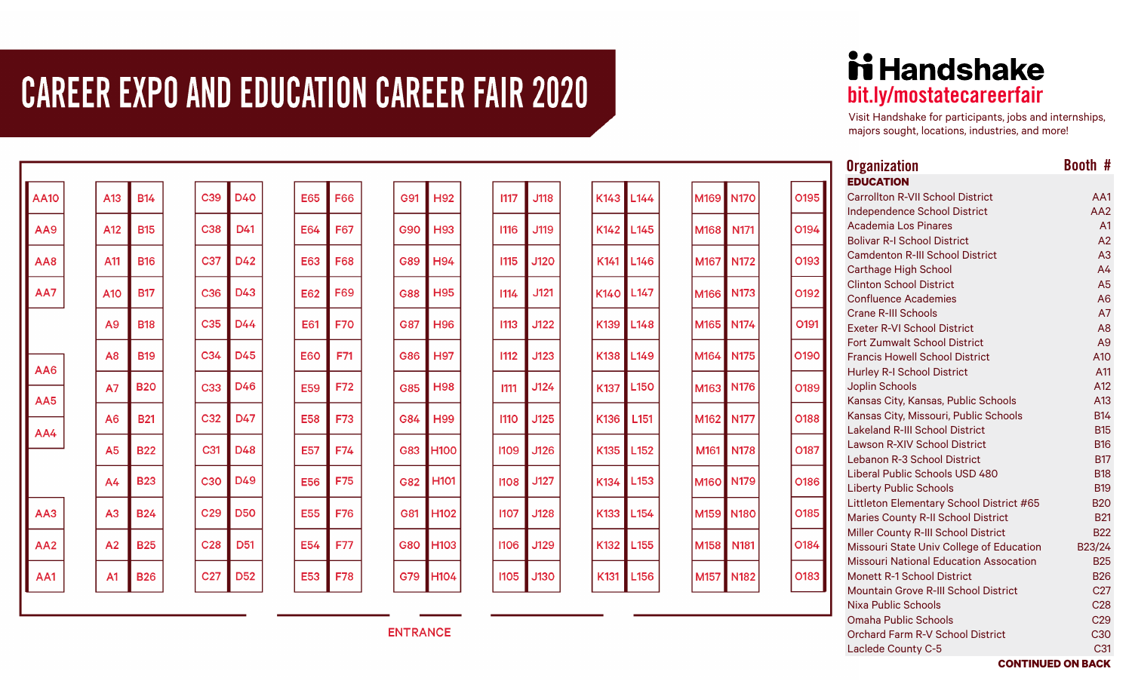## **CAREER EXPO AND EDUCATION CAREER FAIR 2020**

| <b>AA10</b>     |                | A13            | <b>B14</b>      | C <sub>39</sub> | D40             |
|-----------------|----------------|----------------|-----------------|-----------------|-----------------|
| AA9             |                | A12            | <b>B15</b>      | C38             | D41             |
| AA8             |                | A11            | <b>B16</b>      | C37             | D42             |
| AA7             |                | A10            | <b>B17</b>      | C <sub>36</sub> | D43             |
|                 |                | A9             | <b>B18</b>      | C <sub>35</sub> | D44             |
| AA6             |                | A <sub>8</sub> | <b>B19</b>      | C <sub>34</sub> | D45             |
| AA5             |                | <b>A7</b>      | <b>B20</b>      | C33             | D46             |
| AA4             |                | A <sub>6</sub> | <b>B21</b>      | C32             | D47             |
|                 | A <sub>5</sub> | <b>B22</b>     | C <sub>31</sub> | D48             |                 |
|                 |                | A <sub>4</sub> | <b>B23</b>      | C <sub>30</sub> | D49             |
| AA3             |                | A3             | <b>B24</b>      | C <sub>29</sub> | <b>D50</b>      |
| AA <sub>2</sub> |                | A <sub>2</sub> | <b>B25</b>      | C <sub>28</sub> | D <sub>51</sub> |
| AA1             |                | A <sub>1</sub> | <b>B26</b>      | C <sub>27</sub> | <b>D52</b>      |

| <b>E65</b> | F66 | G91        | H92              |
|------------|-----|------------|------------------|
| E64        | F67 | G90        | H93              |
| E63        | F68 | G89        | H94              |
| E62        | F69 | G88        | H95              |
| E61        | F70 | G87        | H96              |
| E60        | F71 | G86        | H97              |
| E59        | F72 | G85        | H98              |
| <b>E58</b> | F73 | G84        | H99              |
| E57        | F74 | G83        | H100             |
| <b>E56</b> | F75 | G82        | H <sub>101</sub> |
| E55        | F76 | G81        | H102             |
| E54        | F77 | <b>G80</b> | H <sub>103</sub> |
| E53        | F78 | G79        | H104             |
|            |     |            |                  |

| 1117 | <b>J118</b> | K143        |
|------|-------------|-------------|
| 1116 | J119        | K142        |
| 1115 | J120        | K141        |
| 1114 | J121        | <b>K140</b> |
| 1113 | J122        | K139        |
| 1112 | J123        | K138        |
| 1111 | J124        | K137        |
| 1110 | J125        | K136        |
| 1109 | J126        | K135        |
| 1108 | J127        | K134        |
| 1107 | J128        | K133        |
| 1106 | J129        | K132        |
| 1105 | J130        | K131        |

| .144   | M169 | <b>N170</b> | O195        |
|--------|------|-------------|-------------|
| .145   | M168 | N171        | 0194        |
| .146   | M167 | <b>N172</b> | O193        |
| $-147$ | M166 | N173        | O192        |
| .148   | M165 | N174        | O191        |
| .149   | M164 | <b>N175</b> | O190        |
| .150   | M163 | N176        | O189        |
| 151    | M162 | <b>N177</b> | <b>O188</b> |
| $-152$ | M161 | <b>N178</b> | 0187        |
| .153   | M160 | N179        | <b>0186</b> |
| .154   | M159 | <b>N180</b> | O185        |
| .155   | M158 | N181        | 0184        |
| .156   | M157 | <b>N182</b> | 0183        |
|        |      |             |             |

## **ii Handshake** bit.ly/mostatecareerfair

Visit Handshake for participants, jobs and internships, majors sought, locations, industries, and more!

| <b>Organization</b>                           | Booth #         |
|-----------------------------------------------|-----------------|
| <b>EDUCATION</b>                              |                 |
| <b>Carrollton R-VII School District</b>       | AA1             |
| <b>Independence School District</b>           | AA2             |
| Academia Los Pinares                          | A <sub>1</sub>  |
| <b>Bolivar R-I School District</b>            | A2              |
| <b>Camdenton R-III School District</b>        | A3              |
| Carthage High School                          | A <sub>4</sub>  |
| <b>Clinton School District</b>                | A <sub>5</sub>  |
| <b>Confluence Academies</b>                   | A <sub>6</sub>  |
| Crane R-III Schools                           | A7              |
| <b>Exeter R-VI School District</b>            | A <sub>8</sub>  |
| Fort Zumwalt School District                  | A9              |
| <b>Francis Howell School District</b>         | A10             |
| <b>Hurley R-I School District</b>             | A11             |
| Joplin Schools                                | A12             |
| Kansas City, Kansas, Public Schools           | A <sub>13</sub> |
| Kansas City, Missouri, Public Schools         | <b>B14</b>      |
| <b>Lakeland R-III School District</b>         | <b>B15</b>      |
| <b>Lawson R-XIV School District</b>           | <b>B16</b>      |
| Lebanon R-3 School District                   | <b>B17</b>      |
| Liberal Public Schools USD 480                | <b>B18</b>      |
| <b>Liberty Public Schools</b>                 | <b>B19</b>      |
| Littleton Elementary School District #65      | <b>B20</b>      |
| Maries County R-II School District            | <b>B21</b>      |
| Miller County R-III School District           | <b>B22</b>      |
| Missouri State Univ College of Education      | B23/24          |
| <b>Missouri National Education Assocation</b> | <b>B25</b>      |
| <b>Monett R-1 School District</b>             | <b>B26</b>      |
| <b>Mountain Grove R-III School District</b>   | C <sub>27</sub> |
| Nixa Public Schools                           | C <sub>28</sub> |
| Omaha Public Schools                          | C <sub>29</sub> |
| Orchard Farm R-V School District              | C30             |
| Laclede County C-5                            | C <sub>31</sub> |

**ENTRANCE**